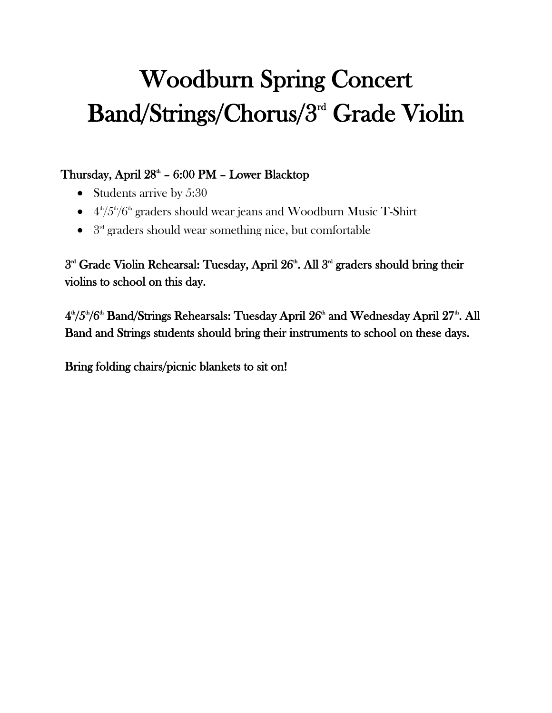## Woodburn Spring Concert Band/Strings/Chorus/3rd Grade Violin

## Thursday, April 28<sup>th</sup> - 6:00 PM - Lower Blacktop

- Students arrive by 5:30
- $4\frac{\text{th}}{5\frac{\text{th}}{5}}/6\frac{\text{th}}{5}$  graders should wear jeans and Woodburn Music T-Shirt
- $\bullet$   $3<sup>rd</sup>$  graders should wear something nice, but comfortable

3<sup>rd</sup> Grade Violin Rehearsal: Tuesday, April 26<sup>th</sup>. All 3<sup>rd</sup> graders should bring their violins to school on this day.

4<sup>th</sup>/5<sup>th</sup>/6<sup>th</sup> Band/Strings Rehearsals: Tuesday April  $26^{\text{th}}$  and Wednesday April  $27^{\text{th}}$ . All Band and Strings students should bring their instruments to school on these days.

Bring folding chairs/picnic blankets to sit on!